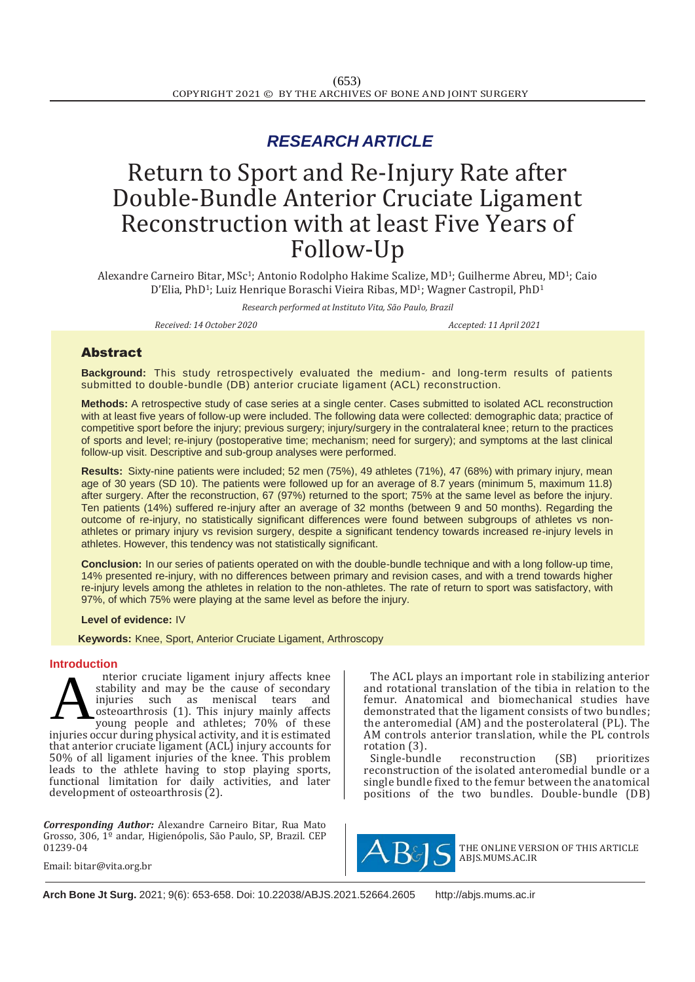# *RESEARCH ARTICLE*

# Return to Sport and Re-Injury Rate after Double-Bundle Anterior Cruciate Ligament Reconstruction with at least Five Years of Follow-Up

Alexandre Carneiro Bitar, MSc1; Antonio Rodolpho Hakime Scalize, MD1; Guilherme Abreu, MD1; Caio D'Elia, PhD<sup>1</sup>; Luiz Henrique Boraschi Vieira Ribas, MD<sup>1</sup>; Wagner Castropil, PhD<sup>1</sup>

*Research performed at Instituto Vita, São Paulo, Brazil*

*Received: 14 October 2020 Accepted: 11 April 2021*

# Abstract

**Background:** This study retrospectively evaluated the medium- and long-term results of patients submitted to double-bundle (DB) anterior cruciate ligament (ACL) reconstruction.

**Methods:** A retrospective study of case series at a single center. Cases submitted to isolated ACL reconstruction with at least five years of follow-up were included. The following data were collected: demographic data; practice of competitive sport before the injury; previous surgery; injury/surgery in the contralateral knee; return to the practices of sports and level; re-injury (postoperative time; mechanism; need for surgery); and symptoms at the last clinical follow-up visit. Descriptive and sub-group analyses were performed.

**Results:** Sixty-nine patients were included; 52 men (75%), 49 athletes (71%), 47 (68%) with primary injury, mean age of 30 years (SD 10). The patients were followed up for an average of 8.7 years (minimum 5, maximum 11.8) after surgery. After the reconstruction, 67 (97%) returned to the sport; 75% at the same level as before the injury. Ten patients (14%) suffered re-injury after an average of 32 months (between 9 and 50 months). Regarding the outcome of re-injury, no statistically significant differences were found between subgroups of athletes vs nonathletes or primary injury vs revision surgery, despite a significant tendency towards increased re-injury levels in athletes. However, this tendency was not statistically significant.

**Conclusion:** In our series of patients operated on with the double-bundle technique and with a long follow-up time, 14% presented re-injury, with no differences between primary and revision cases, and with a trend towards higher re-injury levels among the athletes in relation to the non-athletes. The rate of return to sport was satisfactory, with 97%, of which 75% were playing at the same level as before the injury.

# **Level of evidence:** IV

 **Keywords:** Knee, Sport, Anterior Cruciate Ligament, Arthroscopy

#### **Introduction**

nterior cruciate ligament injury affects knee stability and may be the cause of secondary injuries such as meniscal tears and osteoarthrosis (1). This injury mainly affects young people and athletes; 70% of these injuries occur during physical activity, and it is estimated that anterior cruciate ligament (ACL) injury accounts for 50% of all ligament injuries of the knee. This problem leads to the athlete having to stop playing sports, functional limitation for daily activities, and later development of osteoarthrosis (2). A

*Corresponding Author:* Alexandre Carneiro Bitar, Rua Mato Grosso, 306, 1º andar, Higienópolis, São Paulo, SP, Brazil. CEP 01239-04

The ACL plays an important role in stabilizing anterior and rotational translation of the tibia in relation to the femur. Anatomical and biomechanical studies have demonstrated that the ligament consists of two bundles; the anteromedial (AM) and the posterolateral (PL). The AM controls anterior translation, while the PL controls rotation (3).

Single-bundle reconstruction (SB) prioritizes reconstruction of the isolated anteromedial bundle or a single bundle fixed to the femur between the anatomical positions of the two bundles. Double-bundle (DB)



THE ONLINE VERSION OF THIS ARTICLE ABJS.MUMS.AC.IR

Email: [bitar@vita.org.br](mailto:bitar@vita.org.br)

**Arch Bone Jt Surg.** 2021; 9(6): 653-658. Doi: [10.22038/ABJS.2021.52664.2605](https://dx.doi.org/10.22038/abjs.2021.52664.2605) [http://abjs.mums.ac.ir](http://abjs.mums.ac.ir/)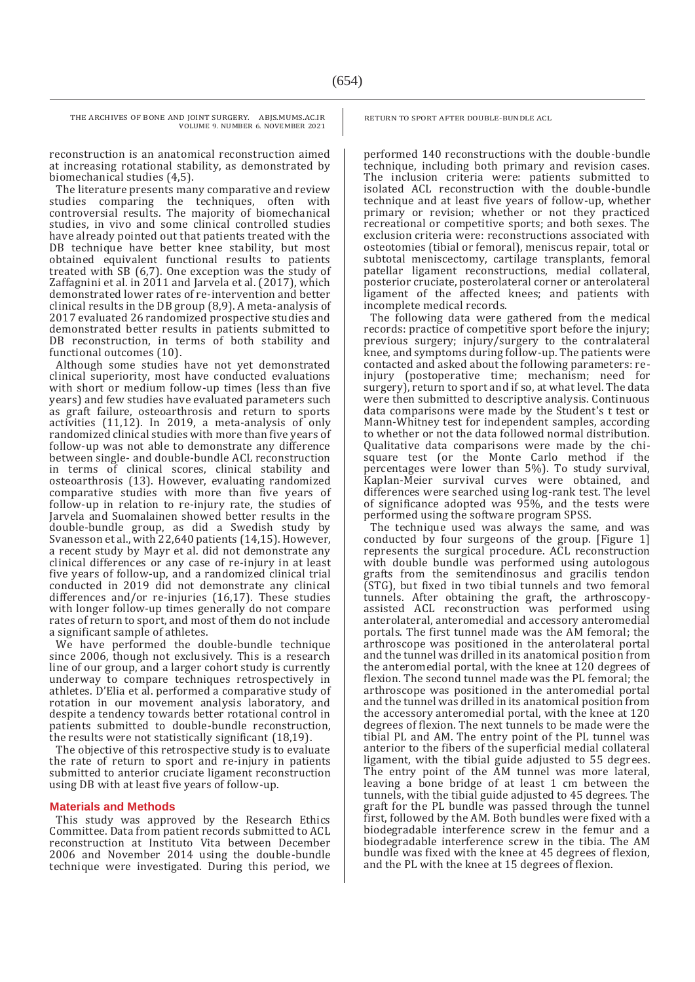reconstruction is an anatomical reconstruction aimed at increasing rotational stability, as demonstrated by biomechanical studies (4,5).

The literature presents many comparative and review studies comparing the techniques, often with controversial results. The majority of biomechanical studies, in vivo and some clinical controlled studies have already pointed out that patients treated with the DB technique have better knee stability, but most obtained equivalent functional results to patients treated with SB (6,7). One exception was the study of Zaffagnini et al. in 2011 and Jarvela et al. (2017), which demonstrated lower rates of re-intervention and better clinical results in the DB group (8,9). A meta-analysis of 2017 evaluated 26 randomized prospective studies and demonstrated better results in patients submitted to DB reconstruction, in terms of both stability and functional outcomes (10).

Although some studies have not yet demonstrated clinical superiority, most have conducted evaluations with short or medium follow-up times (less than five years) and few studies have evaluated parameters such as graft failure, osteoarthrosis and return to sports activities (11,12). In 2019, a meta-analysis of only randomized clinical studies with more than five years of follow-up was not able to demonstrate any difference between single- and double-bundle ACL reconstruction in terms of clinical scores, clinical stability and osteoarthrosis (13). However, evaluating randomized comparative studies with more than five years of follow-up in relation to re-injury rate, the studies of Jarvela and Suomalainen showed better results in the double-bundle group, as did a Swedish study by Svanesson et al., with 22,640 patients (14,15). However, a recent study by Mayr et al. did not demonstrate any clinical differences or any case of re-injury in at least five years of follow-up, and a randomized clinical trial conducted in 2019 did not demonstrate any clinical differences and/or re-injuries (16,17). These studies with longer follow-up times generally do not compare rates of return to sport, and most of them do not include a significant sample of athletes.

We have performed the double-bundle technique since 2006, though not exclusively. This is a research line of our group, and a larger cohort study is currently underway to compare techniques retrospectively in athletes. D'Elia et al. performed a comparative study of rotation in our movement analysis laboratory, and despite a tendency towards better rotational control in patients submitted to double-bundle reconstruction, the results were not statistically significant (18,19).

The objective of this retrospective study is to evaluate the rate of return to sport and re-injury in patients submitted to anterior cruciate ligament reconstruction using DB with at least five years of follow-up.

#### **Materials and Methods**

This study was approved by the Research Ethics Committee. Data from patient records submitted to ACL reconstruction at Instituto Vita between December 2006 and November 2014 using the double-bundle technique were investigated. During this period, we

RETURN TO SPORT AFTER DOUBLE-BUNDLE ACL

performed 140 reconstructions with the double-bundle technique, including both primary and revision cases. The inclusion criteria were: patients submitted to isolated ACL reconstruction with the double-bundle technique and at least five years of follow-up, whether primary or revision; whether or not they practiced recreational or competitive sports; and both sexes. The exclusion criteria were: reconstructions associated with osteotomies (tibial or femoral), meniscus repair, total or subtotal meniscectomy, cartilage transplants, femoral patellar ligament reconstructions, medial collateral, posterior cruciate, posterolateral corner or anterolateral ligament of the affected knees; and patients with incomplete medical records.

The following data were gathered from the medical records: practice of competitive sport before the injury; previous surgery; injury/surgery to the contralateral knee, and symptoms during follow-up. The patients were contacted and asked about the following parameters: reinjury (postoperative time; mechanism; need for surgery), return to sport and if so, at what level. The data were then submitted to descriptive analysis. Continuous data comparisons were made by the Student's t test or Mann-Whitney test for independent samples, according to whether or not the data followed normal distribution. Qualitative data comparisons were made by the chisquare test (or the Monte Carlo method if the percentages were lower than 5%). To study survival, Kaplan-Meier survival curves were obtained, and differences were searched using log-rank test. The level of significance adopted was 95%, and the tests were performed using the software program SPSS.

The technique used was always the same, and was conducted by four surgeons of the group. [Figure 1] represents the surgical procedure. ACL reconstruction with double bundle was performed using autologous grafts from the semitendinosus and gracilis tendon (STG), but fixed in two tibial tunnels and two femoral tunnels. After obtaining the graft, the arthroscopyassisted ACL reconstruction was performed using anterolateral, anteromedial and accessory anteromedial portals. The first tunnel made was the AM femoral; the arthroscope was positioned in the anterolateral portal and the tunnel was drilled in its anatomical position from the anteromedial portal, with the knee at 120 degrees of flexion. The second tunnel made was the PL femoral; the arthroscope was positioned in the anteromedial portal and the tunnel was drilled in its anatomical position from the accessory anteromedial portal, with the knee at 120 degrees of flexion. The next tunnels to be made were the tibial PL and AM. The entry point of the PL tunnel was anterior to the fibers of the superficial medial collateral ligament, with the tibial guide adjusted to 55 degrees. The entry point of the AM tunnel was more lateral, leaving a bone bridge of at least 1 cm between the tunnels, with the tibial guide adjusted to 45 degrees. The graft for the PL bundle was passed through the tunnel first, followed by the AM. Both bundles were fixed with a biodegradable interference screw in the femur and a biodegradable interference screw in the tibia. The AM bundle was fixed with the knee at 45 degrees of flexion, and the PL with the knee at 15 degrees of flexion.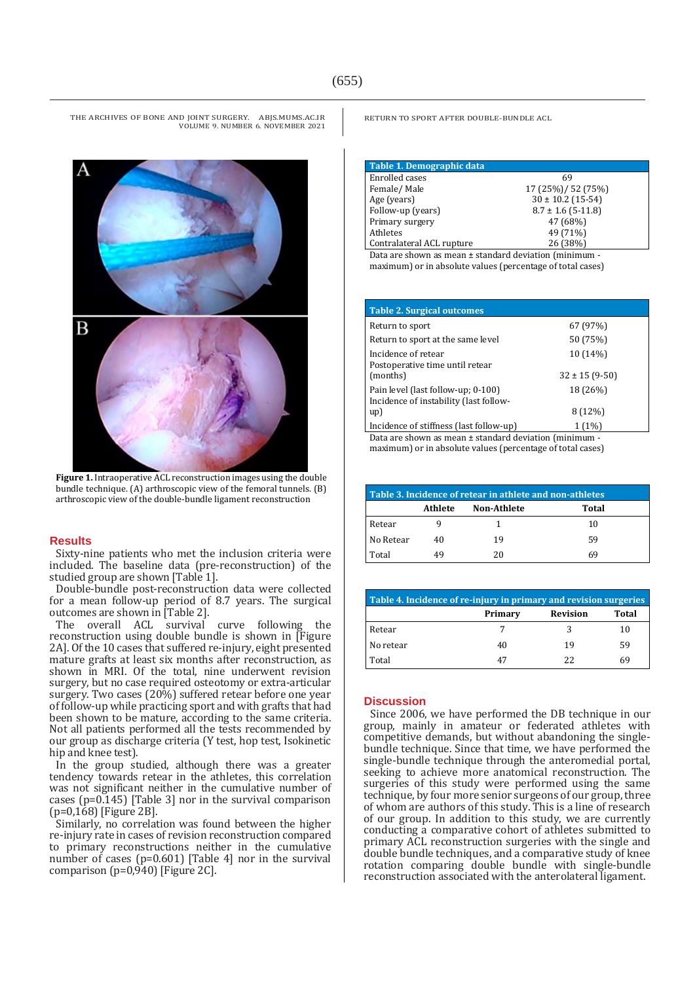

**Figure 1.** Intraoperative ACL reconstruction images using the double bundle technique. (A) arthroscopic view of the femoral tunnels. (B) arthroscopic view of the double-bundle ligament reconstruction

#### **Results**

Sixty-nine patients who met the inclusion criteria were included. The baseline data (pre-reconstruction) of the studied group are shown [Table 1].

Double-bundle post-reconstruction data were collected for a mean follow-up period of 8.7 years. The surgical outcomes are shown in [Table 2].

The overall ACL survival curve following the reconstruction using double bundle is shown in [Figure 2A]. Of the 10 cases that suffered re-injury, eight presented mature grafts at least six months after reconstruction, as shown in MRI. Of the total, nine underwent revision surgery, but no case required osteotomy or extra-articular surgery. Two cases (20%) suffered retear before one year of follow-up while practicing sport and with grafts that had been shown to be mature, according to the same criteria. Not all patients performed all the tests recommended by our group as discharge criteria (Y test, hop test, Isokinetic hip and knee test).

In the group studied, although there was a greater tendency towards retear in the athletes, this correlation was not significant neither in the cumulative number of cases (p=0.145) [Table 3] nor in the survival comparison (p=0,168) [Figure 2B].

Similarly, no correlation was found between the higher re-injury rate in cases of revision reconstruction compared to primary reconstructions neither in the cumulative number of cases (p=0.601) [Table 4] nor in the survival comparison (p=0,940) [Figure 2C].

RETURN TO SPORT AFTER DOUBLE-BUNDLE ACL

| Table 1. Demographic data                       |                        |  |
|-------------------------------------------------|------------------------|--|
| Enrolled cases                                  | 69                     |  |
| Female/Male                                     | 17 (25%)/ 52 (75%)     |  |
| Age (years)                                     | $30 \pm 10.2$ (15-54)  |  |
| Follow-up (years)                               | $8.7 \pm 1.6$ (5-11.8) |  |
| Primary surgery                                 | 47 (68%)               |  |
| Athletes                                        | 49 (71%)               |  |
| Contralateral ACL rupture                       | 26 (38%)               |  |
| .<br>$\mathbf{r}$ . The same state $\mathbf{r}$ | $\cdots$<br>.          |  |

Data are shown as mean ± standard deviation (minimum maximum) or in absolute values (percentage of total cases)

| <b>Table 2. Surgical outcomes</b>                                            |                      |
|------------------------------------------------------------------------------|----------------------|
| Return to sport                                                              | 67 (97%)             |
| Return to sport at the same level                                            | 50 (75%)             |
| Incidence of retear<br>Postoperative time until retear                       | 10 (14%)             |
| (months)                                                                     | $32 \pm 15 (9 - 50)$ |
| Pain level (last follow-up; 0-100)<br>Incidence of instability (last follow- | 18 (26%)             |
| up)                                                                          | 8 (12%)              |
| Incidence of stiffness (last follow-up)                                      | $1(1\%)$             |

Data are shown as mean ± standard deviation (minimum maximum) or in absolute values (percentage of total cases)

| Table 3. Incidence of retear in athlete and non-athletes |         |                    |       |  |  |
|----------------------------------------------------------|---------|--------------------|-------|--|--|
|                                                          | Athlete | <b>Non-Athlete</b> | Total |  |  |
| Retear                                                   |         |                    | 10    |  |  |
| No Retear                                                | 40      | 19                 | 59    |  |  |
| Total                                                    | 49      | 20                 | 69    |  |  |

| Table 4. Incidence of re-injury in primary and revision surgeries |         |                 |       |  |  |
|-------------------------------------------------------------------|---------|-----------------|-------|--|--|
|                                                                   | Primary | <b>Revision</b> | Total |  |  |
| Retear                                                            |         |                 | 10    |  |  |
| No retear                                                         | 40      | 19              | 59    |  |  |
| Total                                                             | 47      | 22              | 69    |  |  |

#### **Discussion**

Since 2006, we have performed the DB technique in our group, mainly in amateur or federated athletes with competitive demands, but without abandoning the singlebundle technique. Since that time, we have performed the single-bundle technique through the anteromedial portal, seeking to achieve more anatomical reconstruction. The surgeries of this study were performed using the same technique, by four more senior surgeons of our group, three of whom are authors of this study. This is a line of research of our group. In addition to this study, we are currently conducting a comparative cohort of athletes submitted to primary ACL reconstruction surgeries with the single and double bundle techniques, and a comparative study of knee rotation comparing double bundle with single-bundle reconstruction associated with the anterolateral ligament.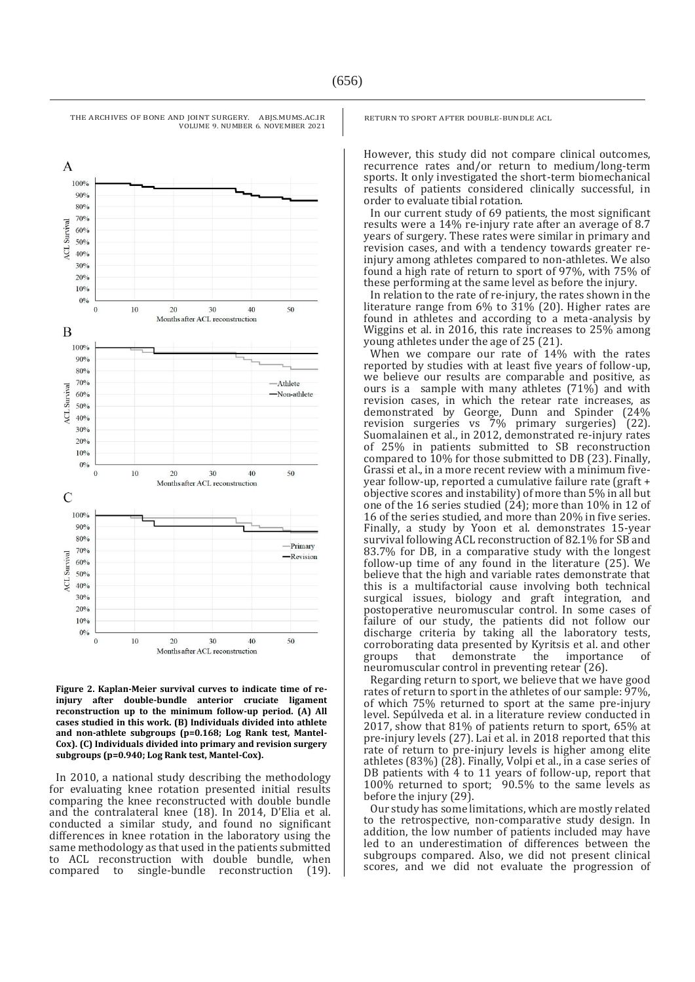

**Figure 2. Kaplan-Meier survival curves to indicate time of reinjury after double-bundle anterior cruciate ligament reconstruction up to the minimum follow-up period. (A) All cases studied in this work. (B) Individuals divided into athlete and non-athlete subgroups (p=0.168; Log Rank test, Mantel-Cox). (C) Individuals divided into primary and revision surgery subgroups (p=0.940; Log Rank test, Mantel-Cox).**

In 2010, a national study describing the methodology for evaluating knee rotation presented initial results comparing the knee reconstructed with double bundle and the contralateral knee (18). In 2014, D'Elia et al. conducted a similar study, and found no significant differences in knee rotation in the laboratory using the same methodology as that used in the patients submitted to ACL reconstruction with double bundle, when compared to single-bundle reconstruction (19). RETURN TO SPORT AFTER DOUBLE-BUNDLE ACL

However, this study did not compare clinical outcomes, recurrence rates and/or return to medium/long-term sports. It only investigated the short-term biomechanical results of patients considered clinically successful, in order to evaluate tibial rotation.

In our current study of 69 patients, the most significant results were a 14% re-injury rate after an average of 8.7 years of surgery. These rates were similar in primary and revision cases, and with a tendency towards greater reinjury among athletes compared to non-athletes. We also found a high rate of return to sport of 97%, with 75% of these performing at the same level as before the injury.

In relation to the rate of re-injury, the rates shown in the literature range from 6% to 31% (20). Higher rates are found in athletes and according to a meta-analysis by Wiggins et al. in 2016, this rate increases to 25% among young athletes under the age of 25 (21).

When we compare our rate of 14% with the rates reported by studies with at least five years of follow-up, we believe our results are comparable and positive, as ours is a sample with many athletes (71%) and with revision cases, in which the retear rate increases, as demonstrated by George, Dunn and Spinder (24% revision surgeries vs 7% primary surgeries) (22). Suomalainen et al., in 2012, demonstrated re-injury rates of 25% in patients submitted to SB reconstruction compared to 10% for those submitted to DB (23). Finally, Grassi et al., in a more recent review with a minimum fiveyear follow-up, reported a cumulative failure rate (graft + objective scores and instability) of more than 5% in all but one of the 16 series studied (24); more than 10% in 12 of 16 of the series studied, and more than 20% in five series. Finally, a study by Yoon et al. demonstrates 15-year survival following ACL reconstruction of 82.1% for SB and 83.7% for DB, in a comparative study with the longest follow-up time of any found in the literature (25). We believe that the high and variable rates demonstrate that this is a multifactorial cause involving both technical surgical issues, biology and graft integration, and postoperative neuromuscular control. In some cases of failure of our study, the patients did not follow our discharge criteria by taking all the laboratory tests, corroborating data presented by Kyritsis et al. and other groups that demonstrate the importance of neuromuscular control in preventing retear (26).

Regarding return to sport, we believe that we have good rates of return to sport in the athletes of our sample: 97%, of which 75% returned to sport at the same pre-injury level. Sepúlveda et al. in a literature review conducted in 2017, show that 81% of patients return to sport, 65% at pre-injury levels (27). Lai et al. in 2018 reported that this rate of return to pre-injury levels is higher among elite athletes (83%) (28). Finally, Volpi et al., in a case series of DB patients with 4 to 11 years of follow-up, report that 100% returned to sport; 90.5% to the same levels as before the injury (29).

Our study has some limitations, which are mostly related to the retrospective, non-comparative study design. In addition, the low number of patients included may have led to an underestimation of differences between the subgroups compared. Also, we did not present clinical scores, and we did not evaluate the progression of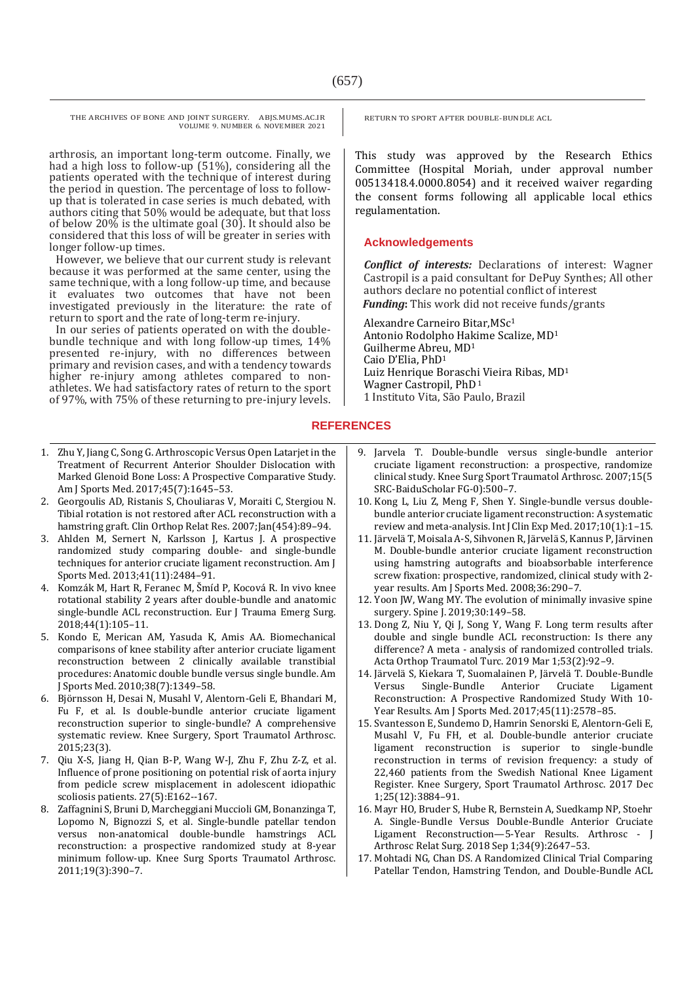arthrosis, an important long-term outcome. Finally, we had a high loss to follow-up (51%), considering all the patients operated with the technique of interest during the period in question. The percentage of loss to followup that is tolerated in case series is much debated, with authors citing that 50% would be adequate, but that loss of below 20% is the ultimate goal (30). It should also be considered that this loss of will be greater in series with longer follow-up times.

However, we believe that our current study is relevant because it was performed at the same center, using the same technique, with a long follow-up time, and because it evaluates two outcomes that have not been investigated previously in the literature: the rate of return to sport and the rate of long-term re-injury.

In our series of patients operated on with the doublebundle technique and with long follow-up times, 14% presented re-injury, with no differences between primary and revision cases, and with a tendency towards higher re-injury among athletes compared to nonathletes. We had satisfactory rates of return to the sport of 97%, with 75% of these returning to pre-injury levels.

- 1. Zhu Y, Jiang C, Song G. Arthroscopic Versus Open Latarjet in the Treatment of Recurrent Anterior Shoulder Dislocation with Marked Glenoid Bone Loss: A Prospective Comparative Study. Am J Sports Med. 2017;45(7):1645–53.
- 2. Georgoulis AD, Ristanis S, Chouliaras V, Moraiti C, Stergiou N. Tibial rotation is not restored after ACL reconstruction with a hamstring graft. Clin Orthop Relat Res. 2007;Jan(454):89-94.
- 3. Ahlden M, Sernert N, Karlsson J, Kartus J. A prospective randomized study comparing double- and single-bundle techniques for anterior cruciate ligament reconstruction. Am J Sports Med. 2013;41(11):2484–91.
- 4. Komzák M, Hart R, Feranec M, Šmíd P, Kocová R. In vivo knee rotational stability 2 years after double-bundle and anatomic single-bundle ACL reconstruction. Eur J Trauma Emerg Surg. 2018;44(1):105–11.
- 5. Kondo E, Merican AM, Yasuda K, Amis AA. Biomechanical comparisons of knee stability after anterior cruciate ligament reconstruction between 2 clinically available transtibial procedures: Anatomic double bundle versus single bundle. Am J Sports Med. 2010;38(7):1349–58.
- 6. Björnsson H, Desai N, Musahl V, Alentorn-Geli E, Bhandari M, Fu F, et al. Is double-bundle anterior cruciate ligament reconstruction superior to single-bundle? A comprehensive systematic review. Knee Surgery, Sport Traumatol Arthrosc. 2015;23(3).
- 7. Qiu X-S, Jiang H, Qian B-P, Wang W-J, Zhu F, Zhu Z-Z, et al. Influence of prone positioning on potential risk of aorta injury from pedicle screw misplacement in adolescent idiopathic scoliosis patients. 27(5):E162--167.
- 8. Zaffagnini S, Bruni D, Marcheggiani Muccioli GM, Bonanzinga T, Lopomo N, Bignozzi S, et al. Single-bundle patellar tendon versus non-anatomical double-bundle hamstrings ACL reconstruction: a prospective randomized study at 8-year minimum follow-up. Knee Surg Sports Traumatol Arthrosc. 2011;19(3):390–7.

RETURN TO SPORT AFTER DOUBLE-BUNDLE ACL

This study was approved by the Research Ethics Committee (Hospital Moriah, under approval number 00513418.4.0000.8054) and it received waiver regarding the consent forms following all applicable local ethics regulamentation.

### **Acknowledgements**

*Conflict of interests:* Declarations of interest: Wagner Castropil is a paid consultant for DePuy Synthes; All other authors declare no potential conflict of interest *Funding***:** This work did not receive funds/grants

Alexandre Carneiro Bitar,MSc<sup>1</sup> Antonio Rodolpho Hakime Scalize, MD<sup>1</sup> Guilherme Abreu, MD<sup>1</sup> Caio D'Elia, PhD<sup>1</sup> Luiz Henrique Boraschi Vieira Ribas, MD<sup>1</sup> Wagner Castropil, PhD<sup>1</sup> 1 Instituto Vita, São Paulo, Brazil

# **REFERENCES**

- 9. Jarvela T. Double-bundle versus single-bundle anterior cruciate ligament reconstruction: a prospective, randomize clinical study. Knee Surg Sport Traumatol Arthrosc. 2007;15(5 SRC-BaiduScholar FG-0):500–7.
- 10. Kong L, Liu Z, Meng F, Shen Y. Single-bundle versus doublebundle anterior cruciate ligament reconstruction: A systematic review and meta-analysis. Int J Clin Exp Med. 2017;10(1):1–15.
- 11. Järvelä T, Moisala A-S, Sihvonen R, Järvelä S, Kannus P, Järvinen M. Double-bundle anterior cruciate ligament reconstruction using hamstring autografts and bioabsorbable interference screw fixation: prospective, randomized, clinical study with 2 year results. Am J Sports Med. 2008;36:290–7.
- 12. Yoon JW, Wang MY. The evolution of minimally invasive spine surgery. Spine J. 2019;30:149-58.
- 13. Dong Z, Niu Y, Qi J, Song Y, Wang F. Long term results after double and single bundle ACL reconstruction: Is there any difference? A meta - analysis of randomized controlled trials. Acta Orthop Traumatol Turc. 2019 Mar 1;53(2):92–9.
- 14. Järvelä S, Kiekara T, Suomalainen P, Järvelä T. Double-Bundle Versus Single-Bundle Anterior Cruciate Ligament Reconstruction: A Prospective Randomized Study With 10- Year Results. Am J Sports Med. 2017;45(11):2578–85.
- 15. Svantesson E, Sundemo D, Hamrin Senorski E, Alentorn-Geli E, Musahl V, Fu FH, et al. Double-bundle anterior cruciate ligament reconstruction is superior to single-bundle reconstruction in terms of revision frequency: a study of 22,460 patients from the Swedish National Knee Ligament Register. Knee Surgery, Sport Traumatol Arthrosc. 2017 Dec 1;25(12):3884–91.
- 16. Mayr HO, Bruder S, Hube R, Bernstein A, Suedkamp NP, Stoehr A. Single-Bundle Versus Double-Bundle Anterior Cruciate Ligament Reconstruction—5-Year Results. Arthrosc - J Arthrosc Relat Surg. 2018 Sep 1;34(9):2647–53.
- 17. Mohtadi NG, Chan DS. A Randomized Clinical Trial Comparing Patellar Tendon, Hamstring Tendon, and Double-Bundle ACL